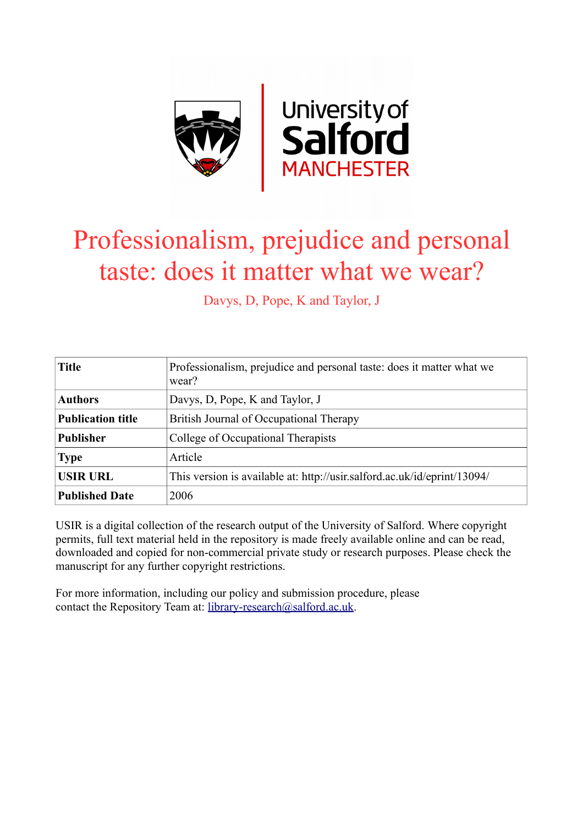

# Professionalism, prejudice and personal taste: does it matter what we wear?

Davys, D, Pope, K and Taylor, J

| <b>Title</b>             | Professionalism, prejudice and personal taste: does it matter what we<br>wear? |
|--------------------------|--------------------------------------------------------------------------------|
| <b>Authors</b>           | Davys, D, Pope, K and Taylor, J                                                |
| <b>Publication title</b> | British Journal of Occupational Therapy                                        |
| <b>Publisher</b>         | College of Occupational Therapists                                             |
| <b>Type</b>              | Article                                                                        |
| <b>USIR URL</b>          | This version is available at: http://usir.salford.ac.uk/id/eprint/13094/       |
| <b>Published Date</b>    | 2006                                                                           |

USIR is a digital collection of the research output of the University of Salford. Where copyright permits, full text material held in the repository is made freely available online and can be read, downloaded and copied for non-commercial private study or research purposes. Please check the manuscript for any further copyright restrictions.

For more information, including our policy and submission procedure, please contact the Repository Team at: [library-research@salford.ac.uk.](mailto:library-research@salford.ac.uk)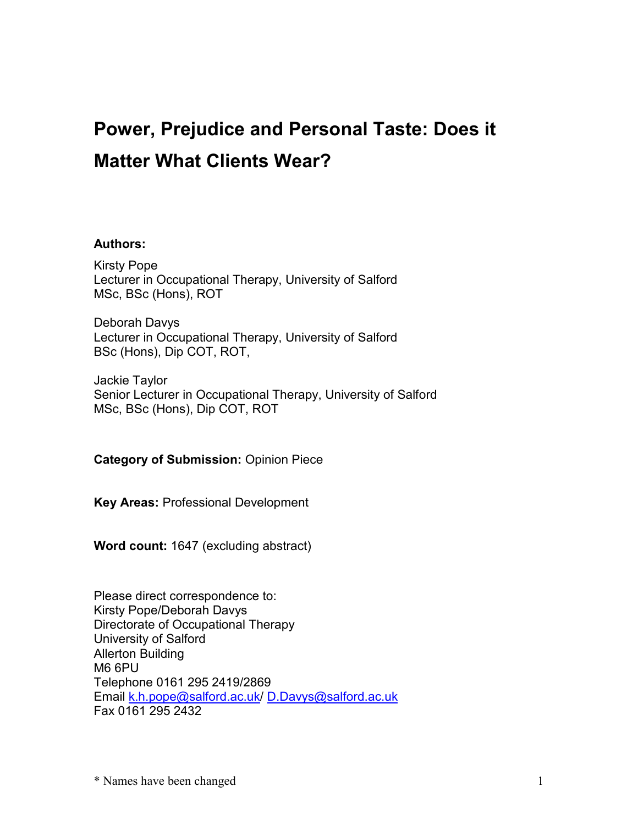## **Power, Prejudice and Personal Taste: Does it Matter What Clients Wear?**

#### **Authors:**

Kirsty Pope Lecturer in Occupational Therapy, University of Salford MSc, BSc (Hons), ROT

Deborah Davys Lecturer in Occupational Therapy, University of Salford BSc (Hons), Dip COT, ROT,

Jackie Taylor Senior Lecturer in Occupational Therapy, University of Salford MSc, BSc (Hons), Dip COT, ROT

**Category of Submission:** Opinion Piece

**Key Areas:** Professional Development

**Word count:** 1647 (excluding abstract)

Please direct correspondence to: Kirsty Pope/Deborah Davys Directorate of Occupational Therapy University of Salford Allerton Building M6 6PU Telephone 0161 295 2419/2869 Email [k.h.pope@salford.ac.uk](mailto:k.h.pope@salford.ac.uk)/ [D.Davys@salford.ac.uk](mailto:D.Davys@salford.ac.uk) Fax 0161 295 2432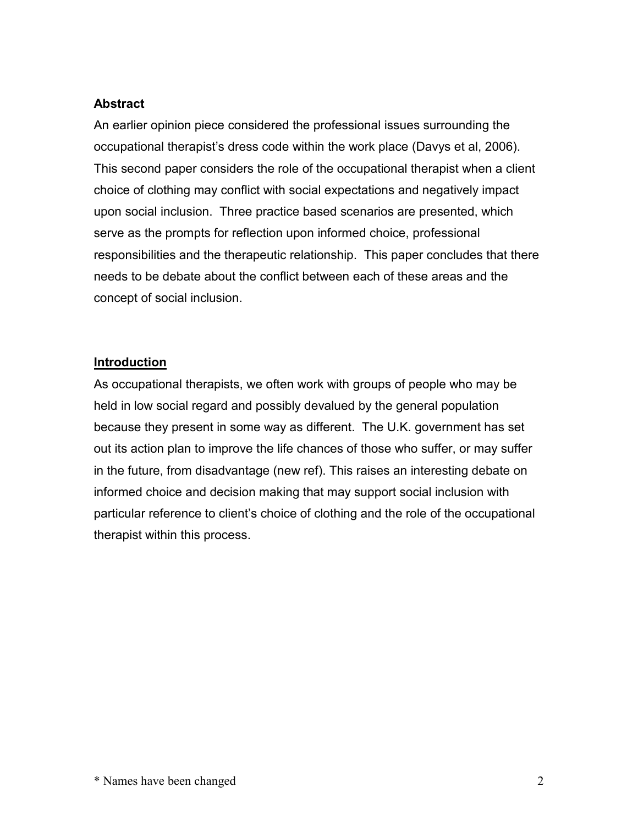#### **Abstract**

An earlier opinion piece considered the professional issues surrounding the occupational therapist's dress code within the work place (Davys et al, 2006). This second paper considers the role of the occupational therapist when a client choice of clothing may conflict with social expectations and negatively impact upon social inclusion. Three practice based scenarios are presented, which serve as the prompts for reflection upon informed choice, professional responsibilities and the therapeutic relationship. This paper concludes that there needs to be debate about the conflict between each of these areas and the concept of social inclusion.

#### **Introduction**

As occupational therapists, we often work with groups of people who may be held in low social regard and possibly devalued by the general population because they present in some way as different. The U.K. government has set out its action plan to improve the life chances of those who suffer, or may suffer in the future, from disadvantage (new ref). This raises an interesting debate on informed choice and decision making that may support social inclusion with particular reference to client's choice of clothing and the role of the occupational therapist within this process.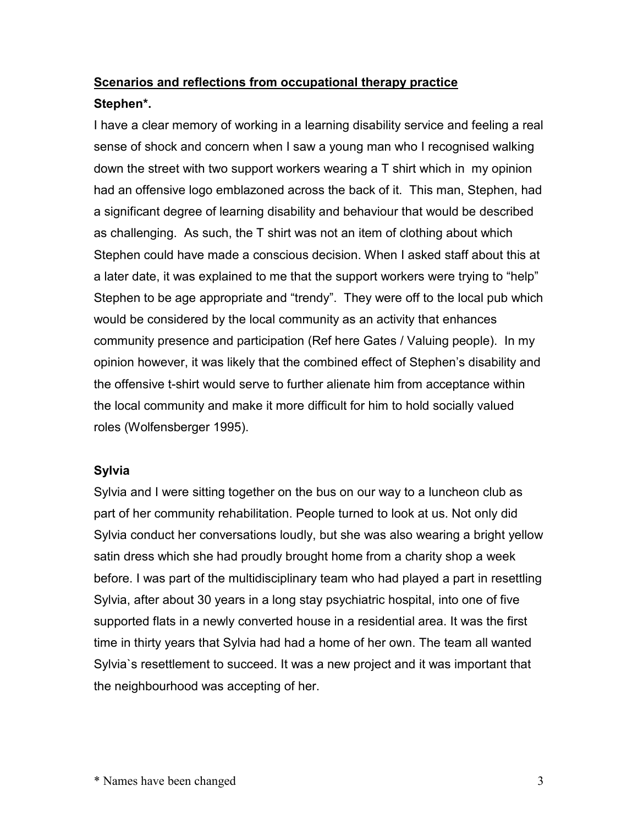### **Scenarios and reflections from occupational therapy practice Stephen\*.**

I have a clear memory of working in a learning disability service and feeling a real sense of shock and concern when I saw a young man who I recognised walking down the street with two support workers wearing a T shirt which in my opinion had an offensive logo emblazoned across the back of it. This man, Stephen, had a significant degree of learning disability and behaviour that would be described as challenging. As such, the T shirt was not an item of clothing about which Stephen could have made a conscious decision. When I asked staff about this at a later date, it was explained to me that the support workers were trying to "help" Stephen to be age appropriate and "trendy". They were off to the local pub which would be considered by the local community as an activity that enhances community presence and participation (Ref here Gates / Valuing people). In my opinion however, it was likely that the combined effect of Stephen's disability and the offensive t-shirt would serve to further alienate him from acceptance within the local community and make it more difficult for him to hold socially valued roles (Wolfensberger 1995).

#### **Sylvia**

Sylvia and I were sitting together on the bus on our way to a luncheon club as part of her community rehabilitation. People turned to look at us. Not only did Sylvia conduct her conversations loudly, but she was also wearing a bright yellow satin dress which she had proudly brought home from a charity shop a week before. I was part of the multidisciplinary team who had played a part in resettling Sylvia, after about 30 years in a long stay psychiatric hospital, into one of five supported flats in a newly converted house in a residential area. It was the first time in thirty years that Sylvia had had a home of her own. The team all wanted Sylvia`s resettlement to succeed. It was a new project and it was important that the neighbourhood was accepting of her.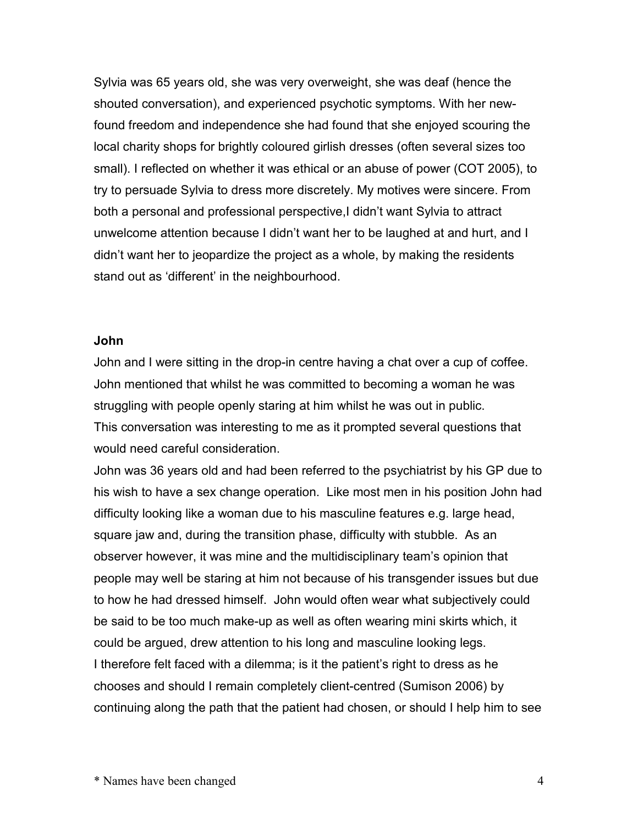Sylvia was 65 years old, she was very overweight, she was deaf (hence the shouted conversation), and experienced psychotic symptoms. With her newfound freedom and independence she had found that she enjoyed scouring the local charity shops for brightly coloured girlish dresses (often several sizes too small). I reflected on whether it was ethical or an abuse of power (COT 2005), to try to persuade Sylvia to dress more discretely. My motives were sincere. From both a personal and professional perspective, I didn't want Sylvia to attract unwelcome attention because I didn't want her to be laughed at and hurt, and I didn't want her to jeopardize the project as a whole, by making the residents stand out as 'different' in the neighbourhood.

#### **John**

John and I were sitting in the drop-in centre having a chat over a cup of coffee. John mentioned that whilst he was committed to becoming a woman he was struggling with people openly staring at him whilst he was out in public. This conversation was interesting to me as it prompted several questions that would need careful consideration.

John was 36 years old and had been referred to the psychiatrist by his GP due to his wish to have a sex change operation. Like most men in his position John had difficulty looking like a woman due to his masculine features e.g. large head, square jaw and, during the transition phase, difficulty with stubble. As an observer however, it was mine and the multidisciplinary team's opinion that people may well be staring at him not because of his transgender issues but due to how he had dressed himself. John would often wear what subjectively could be said to be too much make-up as well as often wearing mini skirts which, it could be argued, drew attention to his long and masculine looking legs. I therefore felt faced with a dilemma; is it the patient's right to dress as he chooses and should I remain completely client-centred (Sumison 2006) by continuing along the path that the patient had chosen, or should I help him to see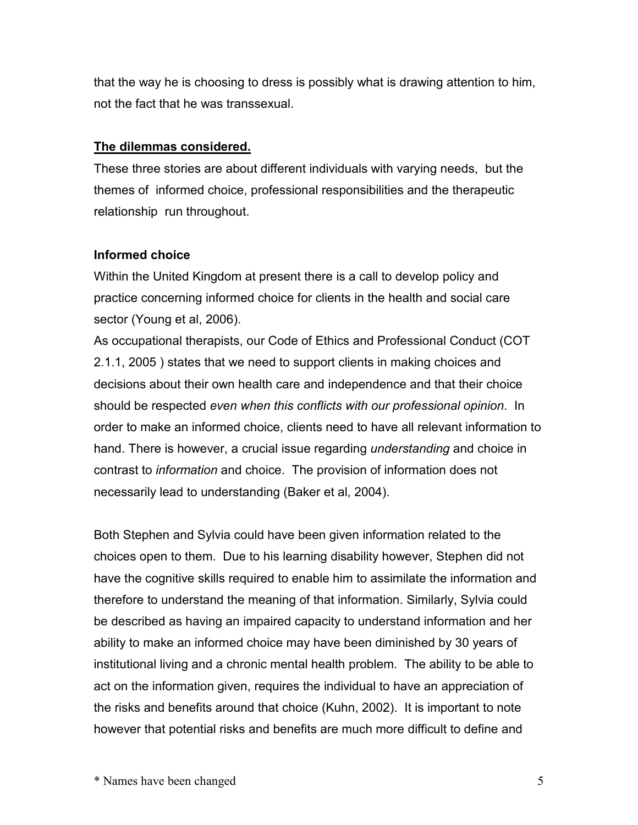that the way he is choosing to dress is possibly what is drawing attention to him, not the fact that he was transsexual.

#### **The dilemmas considered.**

These three stories are about different individuals with varying needs, but the themes of informed choice, professional responsibilities and the therapeutic relationship run throughout.

#### **Informed choice**

Within the United Kingdom at present there is a call to develop policy and practice concerning informed choice for clients in the health and social care sector (Young et al, 2006).

As occupational therapists, our Code of Ethics and Professional Conduct (COT 2.1.1, 2005 ) states that we need to support clients in making choices and decisions about their own health care and independence and that their choice should be respected *even when this conflicts with our professional opinion*. In order to make an informed choice, clients need to have all relevant information to hand. There is however, a crucial issue regarding *understanding* and choice in contrast to *information* and choice. The provision of information does not necessarily lead to understanding (Baker et al, 2004).

Both Stephen and Sylvia could have been given information related to the choices open to them. Due to his learning disability however, Stephen did not have the cognitive skills required to enable him to assimilate the information and therefore to understand the meaning of that information. Similarly, Sylvia could be described as having an impaired capacity to understand information and her ability to make an informed choice may have been diminished by 30 years of institutional living and a chronic mental health problem. The ability to be able to act on the information given, requires the individual to have an appreciation of the risks and benefits around that choice (Kuhn, 2002). It is important to note however that potential risks and benefits are much more difficult to define and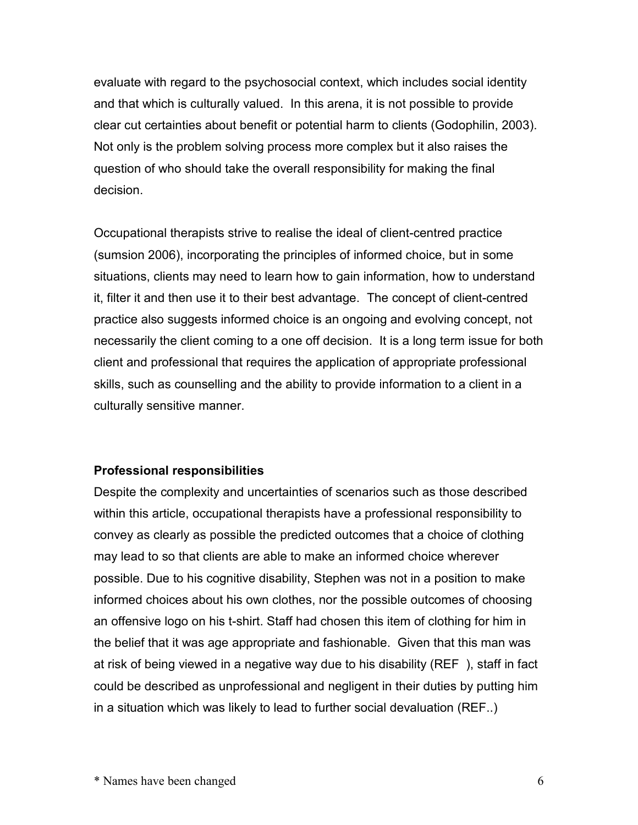evaluate with regard to the psychosocial context, which includes social identity and that which is culturally valued. In this arena, it is not possible to provide clear cut certainties about benefit or potential harm to clients (Godophilin, 2003). Not only is the problem solving process more complex but it also raises the question of who should take the overall responsibility for making the final decision.

Occupational therapists strive to realise the ideal of client-centred practice (sumsion 2006), incorporating the principles of informed choice, but in some situations, clients may need to learn how to gain information, how to understand it, filter it and then use it to their best advantage. The concept of client-centred practice also suggests informed choice is an ongoing and evolving concept, not necessarily the client coming to a one off decision. It is a long term issue for both client and professional that requires the application of appropriate professional skills, such as counselling and the ability to provide information to a client in a culturally sensitive manner.

#### **Professional responsibilities**

Despite the complexity and uncertainties of scenarios such as those described within this article, occupational therapists have a professional responsibility to convey as clearly as possible the predicted outcomes that a choice of clothing may lead to so that clients are able to make an informed choice wherever possible. Due to his cognitive disability, Stephen was not in a position to make informed choices about his own clothes, nor the possible outcomes of choosing an offensive logo on his t-shirt. Staff had chosen this item of clothing for him in the belief that it was age appropriate and fashionable. Given that this man was at risk of being viewed in a negative way due to his disability (REF ), staff in fact could be described as unprofessional and negligent in their duties by putting him in a situation which was likely to lead to further social devaluation (REF..)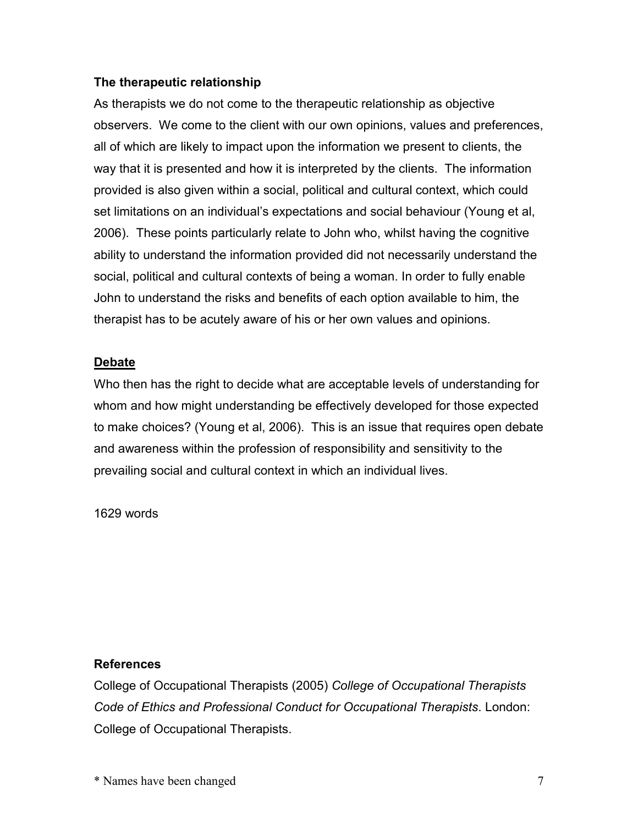#### **The therapeutic relationship**

As therapists we do not come to the therapeutic relationship as objective observers. We come to the client with our own opinions, values and preferences, all of which are likely to impact upon the information we present to clients, the way that it is presented and how it is interpreted by the clients. The information provided is also given within a social, political and cultural context, which could set limitations on an individual's expectations and social behaviour (Young et al, 2006). These points particularly relate to John who, whilst having the cognitive ability to understand the information provided did not necessarily understand the social, political and cultural contexts of being a woman. In order to fully enable John to understand the risks and benefits of each option available to him, the therapist has to be acutely aware of his or her own values and opinions.

#### **Debate**

Who then has the right to decide what are acceptable levels of understanding for whom and how might understanding be effectively developed for those expected to make choices? (Young et al, 2006). This is an issue that requires open debate and awareness within the profession of responsibility and sensitivity to the prevailing social and cultural context in which an individual lives.

1629 words

#### **References**

College of Occupational Therapists (2005) *College of Occupational Therapists Code of Ethics and Professional Conduct for Occupational Therapists*. London: College of Occupational Therapists.